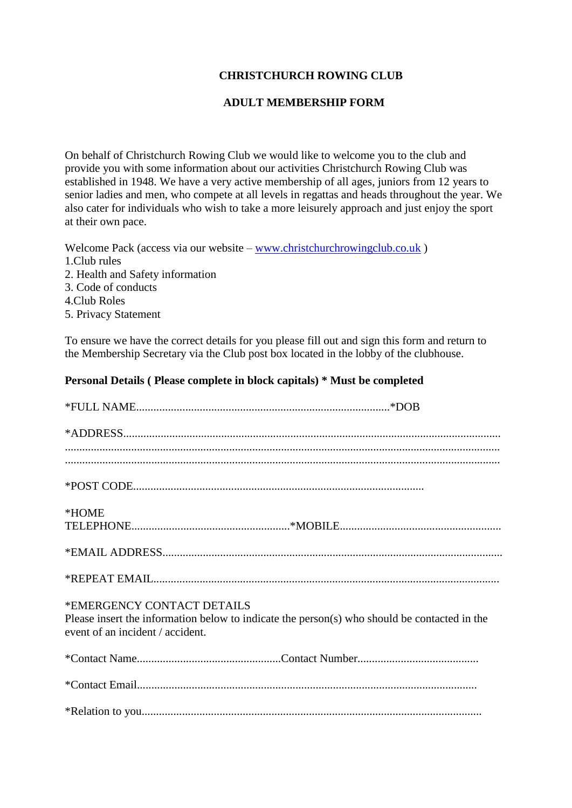# **CHRISTCHURCH ROWING CLUB**

### **ADULT MEMBERSHIP FORM**

On behalf of Christchurch Rowing Club we would like to welcome you to the club and provide you with some information about our activities Christchurch Rowing Club was established in 1948. We have a very active membership of all ages, juniors from 12 years to senior ladies and men, who compete at all levels in regattas and heads throughout the year. We also cater for individuals who wish to take a more leisurely approach and just enjoy the sport at their own pace.

Welcome Pack (access via our website – [www.christchurchrowingclub.co.uk](http://www.christchurchrowingclub.co.uk/)) 1.Club rules 2. Health and Safety information 3. Code of conducts 4.Club Roles

5. Privacy Statement

To ensure we have the correct details for you please fill out and sign this form and return to the Membership Secretary via the Club post box located in the lobby of the clubhouse.

#### **Personal Details ( Please complete in block capitals) \* Must be completed**

| $*ADDRESS. 10001. 1000. 1000. 1000. 1000. 1000. 1000. 1000. 1000. 1000. 1000. 1000. 1000. 1000. 1000. 1000. 1000. 1000. 1000. 1000. 1000. 1000. 1000. 1000. 1000. 1000. 1000. 1000. 1000. 1000. 1000. 1000. 1000. 1000. 1000. 100$ |
|------------------------------------------------------------------------------------------------------------------------------------------------------------------------------------------------------------------------------------|
|                                                                                                                                                                                                                                    |
|                                                                                                                                                                                                                                    |
| *HOME                                                                                                                                                                                                                              |
|                                                                                                                                                                                                                                    |
|                                                                                                                                                                                                                                    |
| *EMERGENCY CONTACT DETAILS<br>Please insert the information below to indicate the person(s) who should be contacted in the<br>event of an incident / accident.                                                                     |
|                                                                                                                                                                                                                                    |
|                                                                                                                                                                                                                                    |
|                                                                                                                                                                                                                                    |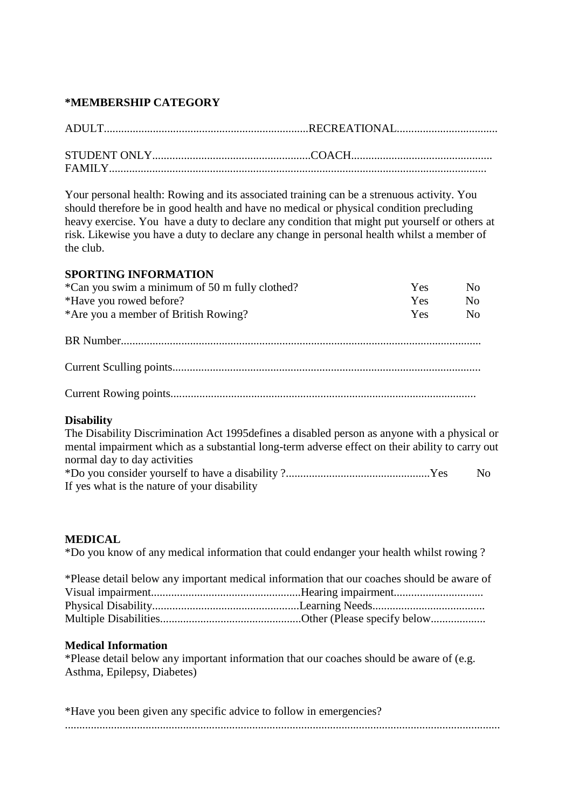### **\*MEMBERSHIP CATEGORY**

Your personal health: Rowing and its associated training can be a strenuous activity. You should therefore be in good health and have no medical or physical condition precluding heavy exercise. You have a duty to declare any condition that might put yourself or others at risk. Likewise you have a duty to declare any change in personal health whilst a member of the club.

### **SPORTING INFORMATION**

| *Can you swim a minimum of 50 m fully clothed? | <b>Yes</b> | No. |
|------------------------------------------------|------------|-----|
| *Have you rowed before?                        | Yes.       | No  |
| *Are you a member of British Rowing?           | Yes.       | No. |

Current Rowing points..........................................................................................................

## **Disability**

The Disability Discrimination Act 1995defines a disabled person as anyone with a physical or mental impairment which as a substantial long-term adverse effect on their ability to carry out normal day to day activities \*Do you consider yourself to have a disability ?..................................................Yes No If yes what is the nature of your disability

## **MEDICAL**

\*Do you know of any medical information that could endanger your health whilst rowing ?

| *Please detail below any important medical information that our coaches should be aware of |  |
|--------------------------------------------------------------------------------------------|--|
|                                                                                            |  |
|                                                                                            |  |
|                                                                                            |  |

#### **Medical Information**

\*Please detail below any important information that our coaches should be aware of (e.g. Asthma, Epilepsy, Diabetes)

| *Have you been given any specific advice to follow in emergencies? |  |
|--------------------------------------------------------------------|--|
|                                                                    |  |